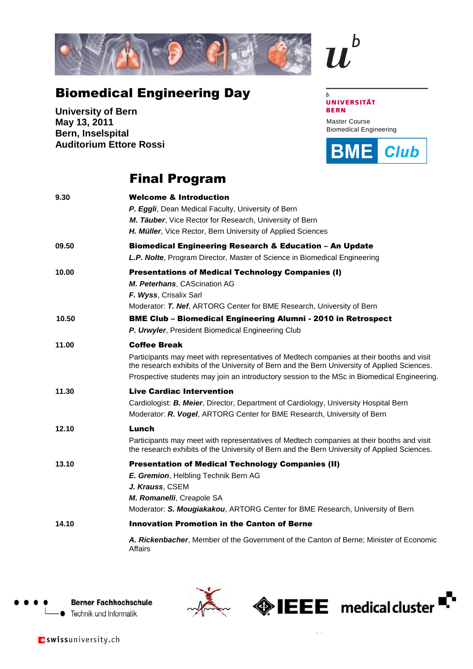

## Biomedical Engineering Day

**University of Bern May 13, 2011 Bern, Inselspital Auditorium Ettore Rossi**

## Final Program

| 9.30  | <b>Welcome &amp; Introduction</b><br>P. Eggli, Dean Medical Faculty, University of Bern<br>M. Täuber, Vice Rector for Research, University of Bern<br>H. Müller, Vice Rector, Bern University of Applied Sciences                                                                                               |
|-------|-----------------------------------------------------------------------------------------------------------------------------------------------------------------------------------------------------------------------------------------------------------------------------------------------------------------|
| 09.50 | <b>Biomedical Engineering Research &amp; Education – An Update</b><br>L.P. Nolte, Program Director, Master of Science in Biomedical Engineering                                                                                                                                                                 |
| 10.00 | <b>Presentations of Medical Technology Companies (I)</b><br>M. Peterhans, CAScination AG<br>F. Wyss, Crisalix Sarl<br>Moderator: T. Nef, ARTORG Center for BME Research, University of Bern                                                                                                                     |
| 10.50 | <b>BME Club - Biomedical Engineering Alumni - 2010 in Retrospect</b><br>P. Urwyler, President Biomedical Engineering Club                                                                                                                                                                                       |
| 11.00 | <b>Coffee Break</b><br>Participants may meet with representatives of Medtech companies at their booths and visit<br>the research exhibits of the University of Bern and the Bern University of Applied Sciences.<br>Prospective students may join an introductory session to the MSc in Biomedical Engineering. |
| 11.30 | <b>Live Cardiac Intervention</b><br>Cardiologist: B. Meier, Director, Department of Cardiology, University Hospital Bern<br>Moderator: R. Vogel, ARTORG Center for BME Research, University of Bern                                                                                                             |
| 12.10 | Lunch<br>Participants may meet with representatives of Medtech companies at their booths and visit<br>the research exhibits of the University of Bern and the Bern University of Applied Sciences.                                                                                                              |
| 13.10 | <b>Presentation of Medical Technology Companies (II)</b><br>E. Gremion, Helbling Technik Bern AG<br>J. Krauss, CSEM<br>M. Romanelli, Creapole SA<br>Moderator: S. Mougiakakou, ARTORG Center for BME Research, University of Bern                                                                               |
| 14.10 | <b>Innovation Promotion in the Canton of Berne</b>                                                                                                                                                                                                                                                              |
|       | A. Rickenbacher, Member of the Government of the Canton of Berne; Minister of Economic<br>Affairs                                                                                                                                                                                                               |





www.bio

Master Course Biomedical Engineering

**BME** 

**Club** 

**UNIVERSITÄT** 

 $\mathbf b$ 

**BERN** 

 $\overline{b}$